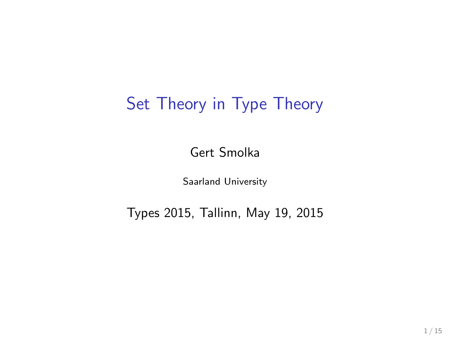# Set Theory in Type Theory

Gert Smolka

Saarland University

Types 2015, Tallinn, May 19, 2015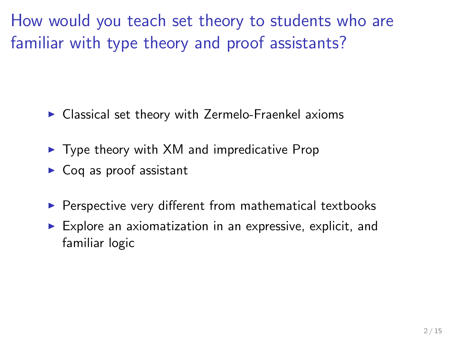How would you teach set theory to students who are familiar with type theory and proof assistants?

- $\blacktriangleright$  Classical set theory with Zermelo-Fraenkel axioms
- $\triangleright$  Type theory with XM and impredicative Prop
- $\triangleright$  Coq as proof assistant
- ▶ Perspective very different from mathematical textbooks
- $\blacktriangleright$  Explore an axiomatization in an expressive, explicit, and familiar logic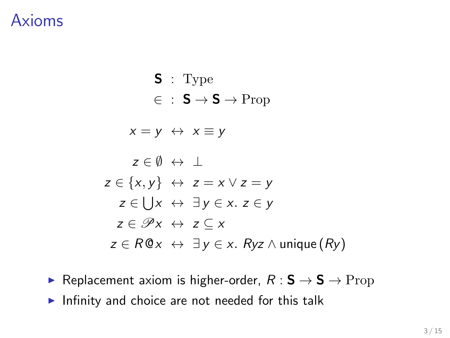#### Axioms

$$
\begin{aligned}\n\mathbf{S} &: \text{Type} \\
&\in \mathbf{S} \to \mathbf{S} \to \text{Prop} \\
&x = y \leftrightarrow x \equiv y \\
\mathbf{z} \in \emptyset \leftrightarrow \bot \\
\mathbf{z} \in \{x, y\} \leftrightarrow z = x \lor z = y \\
\mathbf{z} \in \bigcup x \leftrightarrow \exists y \in x. \ z \in y \\
\mathbf{z} \in \mathcal{P}x \leftrightarrow z \subseteq x \\
\mathbf{z} \in R@x \leftrightarrow \exists y \in x. \ Ryz \land \text{unique}(Ry)\n\end{aligned}
$$

- ► Replacement axiom is higher-order,  $R : S \rightarrow S \rightarrow$  Prop
- $\blacktriangleright$  Infinity and choice are not needed for this talk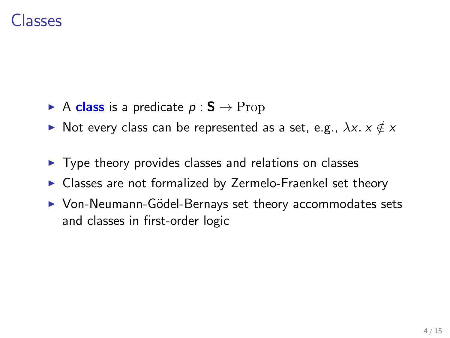### Classes

- A class is a predicate  $p : S \to \text{Prop}$
- ► Not every class can be represented as a set, e.g.,  $\lambda x. x \notin x$
- ▶ Type theory provides classes and relations on classes
- ▶ Classes are not formalized by Zermelo-Fraenkel set theory
- ▶ Von-Neumann-Gödel-Bernays set theory accommodates sets and classes in first-order logic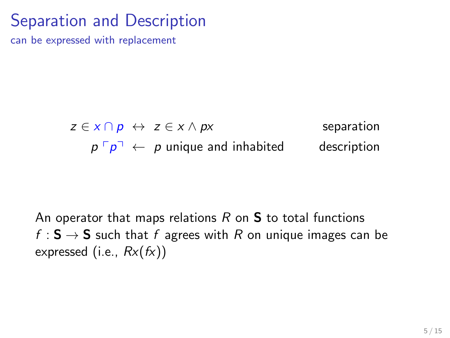# Separation and Description

can be expressed with replacement

 $z \in x \cap p \leftrightarrow z \in x \land px$  separation  $p \big[ p \big] \leftarrow p$  unique and inhabited description

An operator that maps relations  $R$  on  $S$  to total functions f :  $S \rightarrow S$  such that f agrees with R on unique images can be expressed (i.e.,  $Rx(fx)$ )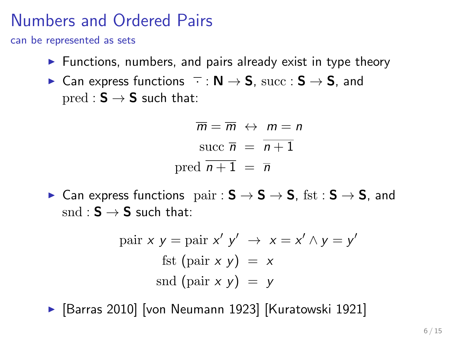### Numbers and Ordered Pairs

can be represented as sets

- $\triangleright$  Functions, numbers, and pairs already exist in type theory
- ► Can express functions  $\overline{\cdot}$  : N  $\rightarrow$  S, succ : S  $\rightarrow$  S, and  $pred : S \rightarrow S$  such that:

$$
\overline{m} = \overline{m} \leftrightarrow m = n
$$
  
succ  $\overline{n} = \overline{n+1}$   
pred  $\overline{n+1} = \overline{n}$ 

► Can express functions  $\psi$  pair :  $S \rightarrow S \rightarrow S$ , fst :  $S \rightarrow S$ , and  $\mathrm{snd} : \mathsf{S} \to \mathsf{S}$  such that:

pair x y = pair x' y' 
$$
\rightarrow
$$
 x = x'  $\land$  y = y'  
fst (pair x y) = x  
snd (pair x y) = y

▶ [Barras 2010] [von Neumann 1923] [Kuratowski 1921]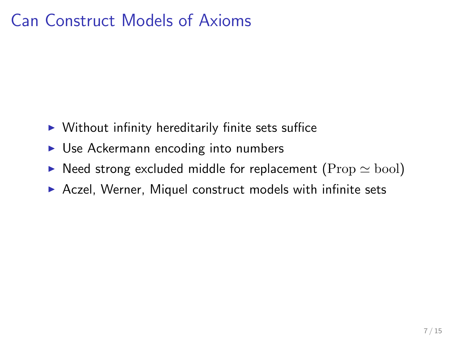# Can Construct Models of Axioms

- $\triangleright$  Without infinity hereditarily finite sets suffice
- ► Use Ackermann encoding into numbers
- $\triangleright$  Need strong excluded middle for replacement (Prop  $\simeq$  bool)
- ▶ Aczel, Werner, Miquel construct models with infinite sets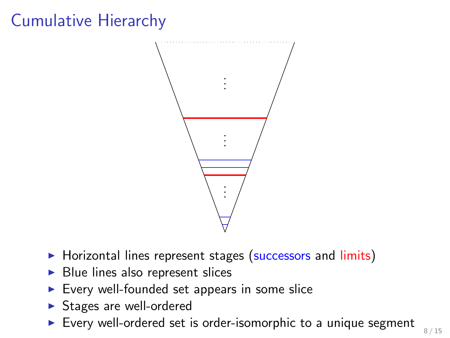# Cumulative Hierarchy



- ▶ Horizontal lines represent stages (successors and limits)
- Blue lines also represent slices
- ▶ Every well-founded set appears in some slice
- ▶ Stages are well-ordered
- ▶ Every well-ordered set is order-isomorphic to a unique segment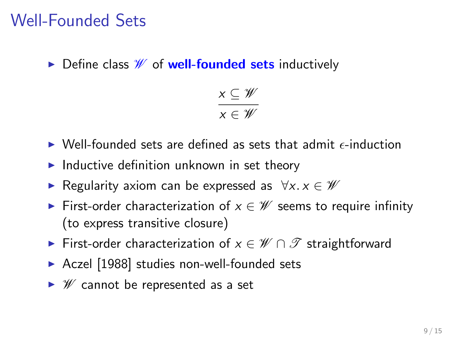### Well-Founded Sets

 $\triangleright$  Define class  $\mathscr W$  of well-founded sets inductively

$$
\frac{x\subseteq\mathscr{W}}{x\in\mathscr{W}}
$$

- $\triangleright$  Well-founded sets are defined as sets that admit  $\epsilon$ -induction
- $\blacktriangleright$  Inductive definition unknown in set theory
- Regularity axiom can be expressed as  $\forall x. x \in W$
- First-order characterization of  $x \in \mathcal{W}$  seems to require infinity (to express transitive closure)
- First-order characterization of  $x \in \mathscr{W} \cap \mathscr{T}$  straightforward
- ▶ Aczel [1988] studies non-well-founded sets
- $ightharpoonup$  *'W* cannot be represented as a set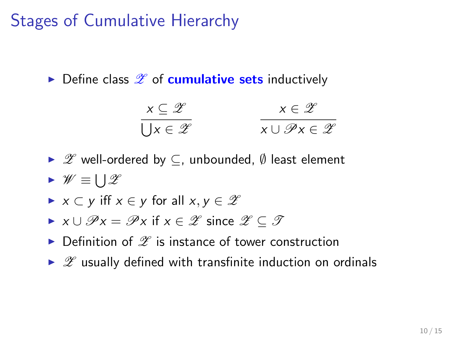# Stages of Cumulative Hierarchy

 $\triangleright$  Define class  $\mathscr X$  of **cumulative sets** inductively

$$
\begin{array}{c}\n \times \subseteq \mathscr{Z} \\
 \hline\n \bigcup x \in \mathscr{Z}\n \end{array}\n \qquad\n \begin{array}{c}\n \times \in \mathscr{Z} \\
 \hline\n x \cup \mathscr{P}x \in \mathscr{Z}\n \end{array}
$$

- $\triangleright$   $\mathscr{Z}$  well-ordered by  $\subseteq$ , unbounded,  $\emptyset$  least element
- ►  $\mathscr{W} \equiv \bigcup \mathscr{Z}$
- $\triangleright$  x  $\subset$  y iff  $x \in y$  for all  $x, y \in \mathscr{Z}$
- $\triangleright$  x  $\cup$   $\mathscr{P}$  x =  $\mathscr{P}$  x if  $x \in \mathscr{Z}$  since  $\mathscr{Z} \subseteq \mathscr{T}$
- $\triangleright$  Definition of  $\mathscr X$  is instance of tower construction
- $\triangleright$   $\mathscr Z$  usually defined with transfinite induction on ordinals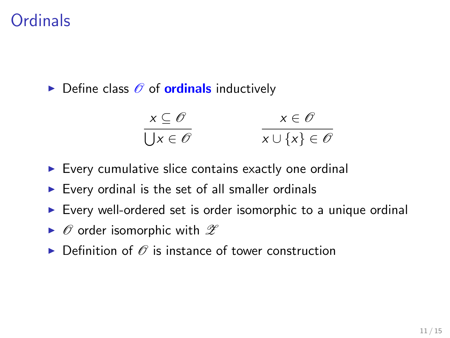### **Ordinals**

 $\triangleright$  Define class  $\mathscr O$  of **ordinals** inductively

$$
\begin{array}{c}\n \times \subseteq \mathscr{O} \\
 \hline\n \bigcup x \in \mathscr{O}\n \end{array}\n \qquad\n \begin{array}{c}\n x \in \mathscr{O} \\
 x \cup \{x\} \in \mathscr{O}\n \end{array}
$$

- $\triangleright$  Every cumulative slice contains exactly one ordinal
- $\triangleright$  Every ordinal is the set of all smaller ordinals
- ▶ Every well-ordered set is order isomorphic to a unique ordinal
- $\triangleright$   $\emptyset$  order isomorphic with  $\mathscr Z$
- $\triangleright$  Definition of  $\oslash$  is instance of tower construction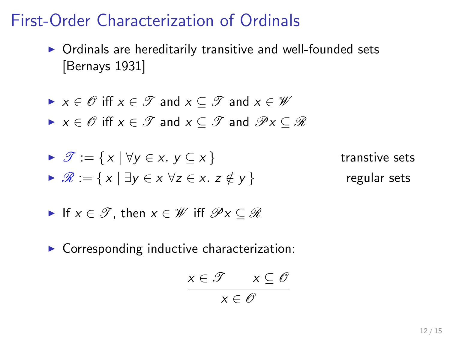### First-Order Characterization of Ordinals

- ▶ Ordinals are hereditarily transitive and well-founded sets [Bernays 1931]
- $\triangleright$   $x \in \mathscr{O}$  iff  $x \in \mathscr{T}$  and  $x \in \mathscr{V}$  and  $x \in \mathscr{W}$
- $\triangleright$   $x \in \mathscr{O}$  iff  $x \in \mathscr{T}$  and  $x \subseteq \mathscr{T}$  and  $\mathscr{P}x \subseteq \mathscr{R}$

► 
$$
\mathcal{T} := \{ x \mid \forall y \in x. \ y \subseteq x \}
$$
 transtive sets

\n▶  $\mathcal{R} := \{ x \mid \exists y \in x \ \forall z \in x. \ z \notin y \}$  regular sets

- If  $x \in \mathcal{T}$ , then  $x \in \mathcal{W}$  iff  $\mathcal{P}_X \subset \mathcal{R}$
- $\triangleright$  Corresponding inductive characterization:

$$
x \in \mathcal{T} \qquad x \subseteq \mathcal{O}
$$

$$
x \in \mathcal{O}
$$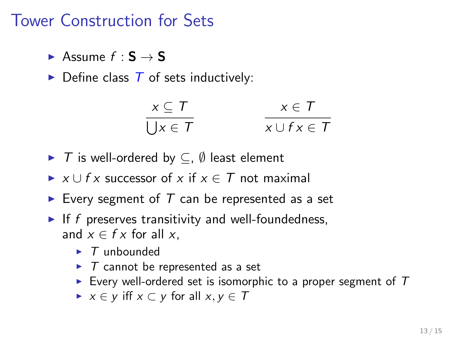#### Tower Construction for Sets

- Assume  $f : S \rightarrow S$
- $\triangleright$  Define class  $\overline{T}$  of sets inductively:

$$
\frac{x \subseteq T}{\bigcup x \in T} \qquad \qquad \frac{x \in T}{x \cup f x \in T}
$$

- $\triangleright$  T is well-ordered by  $\subseteq$ ,  $\emptyset$  least element
- ►  $x \cup f$  x successor of x if  $x \in T$  not maximal
- Every segment of  $T$  can be represented as a set
- If f preserves transitivity and well-foundedness, and  $x \in f x$  for all x.
	- $\blacktriangleright$  T unbounded
	- $\triangleright$  T cannot be represented as a set
	- Every well-ordered set is isomorphic to a proper segment of  $T$
	- $\triangleright$   $x \in y$  iff  $x \subset y$  for all  $x, y \in T$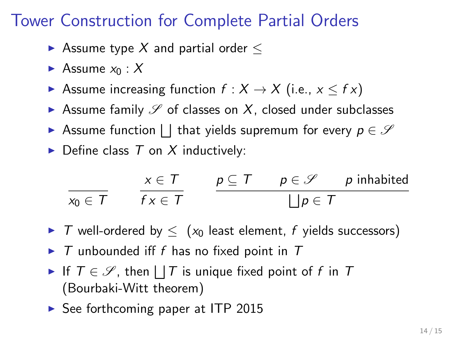### Tower Construction for Complete Partial Orders

- Assume type X and partial order  $\leq$
- Assume  $x_0 : X$
- Assume increasing function  $f : X \to X$  (i.e.,  $x \leq f x$ )
- Assume family  $\mathscr S$  of classes on X, closed under subclasses
- Assume function  $\bigsqcup$  that yields supremum for every  $p \in \mathcal{S}$
- $\triangleright$  Define class T on X inductively:

$$
\frac{x \in T}{x_0 \in T} \qquad \frac{x \in T}{f \times \in T} \qquad \frac{p \subseteq T \qquad p \in \mathcal{S} \qquad p \text{ inhabited}}{\bigsqcup p \in T}
$$

- $\triangleright$  T well-ordered by  $\leq$  ( $x_0$  least element, f yields successors)
- $\triangleright$  T unbounded iff f has no fixed point in T
- If  $T \in \mathscr{S}$ , then  $\Box T$  is unique fixed point of f in T (Bourbaki-Witt theorem)
- ► See forthcoming paper at ITP 2015